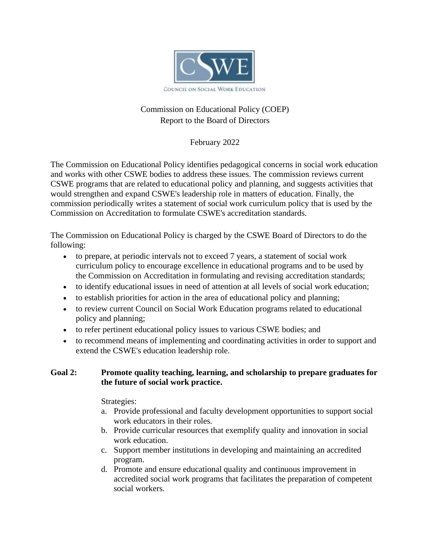

# Commission on Educational Policy (COEP) Report to the Board of Directors

February 2022

The Commission on Educational Policy identifies pedagogical concerns in social work education and works with other CSWE bodies to address these issues. The commission reviews current CSWE programs that are related to educational policy and planning, and suggests activities that would strengthen and expand CSWE's leadership role in matters of education. Finally, the commission periodically writes a statement of social work curriculum policy that is used by the Commission on Accreditation to formulate CSWE's accreditation standards.

The Commission on Educational Policy is charged by the CSWE Board of Directors to do the following:

- to prepare, at periodic intervals not to exceed 7 years, a statement of social work curriculum policy to encourage excellence in educational programs and to be used by the Commission on Accreditation in formulating and revising accreditation standards;
- to identify educational issues in need of attention at all levels of social work education;
- to establish priorities for action in the area of educational policy and planning;
- to review current Council on Social Work Education programs related to educational policy and planning;
- to refer pertinent educational policy issues to various CSWE bodies; and
- to recommend means of implementing and coordinating activities in order to support and extend the CSWE's education leadership role.

# **Goal 2: [Promote quality teaching, learning, and scholarship to prepare graduates for](https://www.cswe.org/About-CSWE/2020-Strategic-Plan#Goal2)  [the future of social work practice.](https://www.cswe.org/About-CSWE/2020-Strategic-Plan#Goal2)**

Strategies:

- a. Provide professional and faculty development opportunities to support social work educators in their roles.
- b. Provide curricular resources that exemplify quality and innovation in social work education.
- c. Support member institutions in developing and maintaining an accredited program.
- d. Promote and ensure educational quality and continuous improvement in accredited social work programs that facilitates the preparation of competent social workers.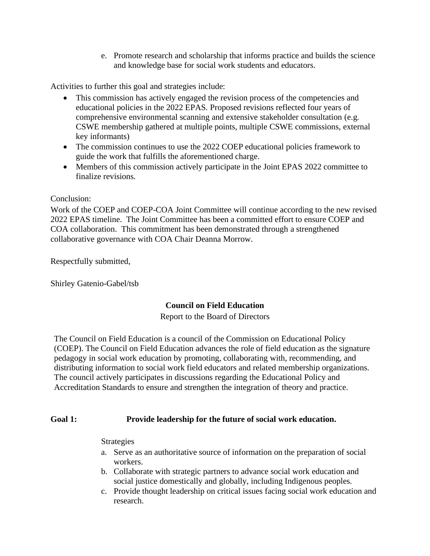e. Promote research and scholarship that informs practice and builds the science and knowledge base for social work students and educators.

Activities to further this goal and strategies include:

- This commission has actively engaged the revision process of the competencies and educational policies in the 2022 EPAS. Proposed revisions reflected four years of comprehensive environmental scanning and extensive stakeholder consultation (e.g. CSWE membership gathered at multiple points, multiple CSWE commissions, external key informants)
- The commission continues to use the 2022 COEP educational policies framework to guide the work that fulfills the aforementioned charge.
- Members of this commission actively participate in the Joint EPAS 2022 committee to finalize revisions.

## Conclusion:

Work of the COEP and COEP-COA Joint Committee will continue according to the new revised 2022 EPAS timeline. The Joint Committee has been a committed effort to ensure COEP and COA collaboration. This commitment has been demonstrated through a strengthened collaborative governance with COA Chair Deanna Morrow.

Respectfully submitted,

Shirley Gatenio-Gabel/tsb

# **Council on Field Education**

Report to the Board of Directors

The Council on Field Education is a council of the Commission on Educational Policy (COEP). The Council on Field Education advances the role of field education as the signature pedagogy in social work education by promoting, collaborating with, recommending, and distributing information to social work field educators and related membership organizations. The council actively participates in discussions regarding the Educational Policy and Accreditation Standards to ensure and strengthen the integration of theory and practice.

# **Goal 1: [Provide leadership for the future of social work education.](https://www.cswe.org/About-CSWE/2020-Strategic-Plan#Goal1)**

#### Strategies

- a. Serve as an authoritative source of information on the preparation of social workers.
- b. Collaborate with strategic partners to advance social work education and social justice domestically and globally, including Indigenous peoples.
- c. Provide thought leadership on critical issues facing social work education and research.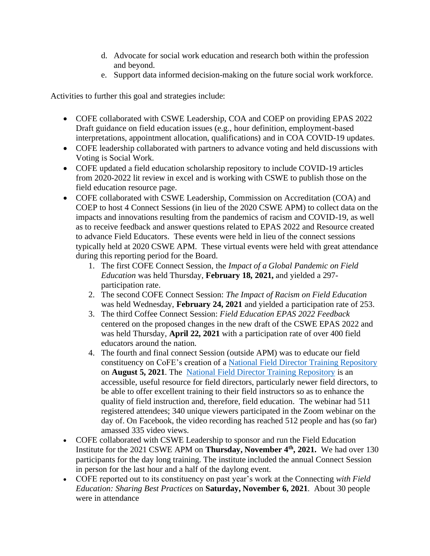- d. Advocate for social work education and research both within the profession and beyond.
- e. Support data informed decision-making on the future social work workforce.

Activities to further this goal and strategies include:

- COFE collaborated with CSWE Leadership, COA and COEP on providing EPAS 2022 Draft guidance on field education issues (e.g., hour definition, employment-based interpretations, appointment allocation, qualifications) and in COA COVID-19 updates.
- COFE leadership collaborated with partners to advance voting and held discussions with Voting is Social Work.
- COFE updated a field education scholarship repository to include COVID-19 articles from 2020-2022 lit review in excel and is working with CSWE to publish those on the field education resource page.
- COFE collaborated with CSWE Leadership, Commission on Accreditation (COA) and COEP to host 4 Connect Sessions (in lieu of the 2020 CSWE APM) to collect data on the impacts and innovations resulting from the pandemics of racism and COVID-19, as well as to receive feedback and answer questions related to EPAS 2022 and Resource created to advance Field Educators. These events were held in lieu of the connect sessions typically held at 2020 CSWE APM. These virtual events were held with great attendance during this reporting period for the Board.
	- 1. The first COFE Connect Session, the *Impact of a Global Pandemic on Field Education* was held Thursday, **February 18, 2021,** and yielded a 297 participation rate.
	- 2. The second COFE Connect Session: *The Impact of Racism on Field Education* was held Wednesday, **February 24, 2021** and yielded a participation rate of 253.
	- 3. The third Coffee Connect Session: *Field Education EPAS 2022 Feedback* centered on the proposed changes in the new draft of the CSWE EPAS 2022 and was held Thursday, **April 22, 2021** with a participation rate of over 400 field educators around the nation.
	- 4. The fourth and final connect Session (outside APM) was to educate our field constituency on CoFE's creation of a [National Field Director Training Repository](https://www.cswe.org/About-CSWE/Governance/Commissions-and-Councils/Council-on-Field-Education/User%E2%80%99s-Guide-for-the-National-Field-Instructor-Tra%20.) on **August 5, 2021**. The [National Field Director Training Repository](https://www.cswe.org/About-CSWE/Governance/Commissions-and-Councils/Council-on-Field-Education/User%E2%80%99s-Guide-for-the-National-Field-Instructor-Tra%20.) is an accessible, useful resource for field directors, particularly newer field directors, to be able to offer excellent training to their field instructors so as to enhance the quality of field instruction and, therefore, field education. The webinar had 511 registered attendees; 340 unique viewers participated in the Zoom webinar on the day of. On Facebook, the video recording has reached 512 people and has (so far) amassed 335 video views.
- COFE collaborated with CSWE Leadership to sponsor and run the Field Education Institute for the 2021 CSWE APM on **Thursday, November 4th, 2021.** We had over 130 participants for the day long training. The institute included the annual Connect Session in person for the last hour and a half of the daylong event.
- COFE reported out to its constituency on past year's work at the Connecting *with Field Education: Sharing Best Practices* on **Saturday, November 6, 2021**. About 30 people were in attendance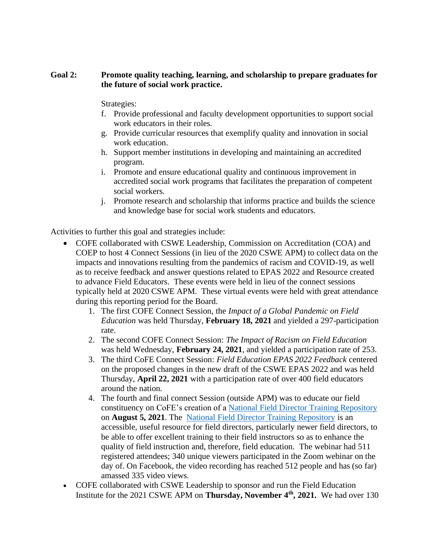## **Goal 2: [Promote quality teaching, learning, and scholarship to prepare graduates for](https://www.cswe.org/About-CSWE/2020-Strategic-Plan#Goal2)  [the future of social work practice.](https://www.cswe.org/About-CSWE/2020-Strategic-Plan#Goal2)**

Strategies:

- f. Provide professional and faculty development opportunities to support social work educators in their roles.
- g. Provide curricular resources that exemplify quality and innovation in social work education.
- h. Support member institutions in developing and maintaining an accredited program.
- i. Promote and ensure educational quality and continuous improvement in accredited social work programs that facilitates the preparation of competent social workers.
- j. Promote research and scholarship that informs practice and builds the science and knowledge base for social work students and educators.

Activities to further this goal and strategies include:

- COFE collaborated with CSWE Leadership, Commission on Accreditation (COA) and COEP to host 4 Connect Sessions (in lieu of the 2020 CSWE APM) to collect data on the impacts and innovations resulting from the pandemics of racism and COVID-19, as well as to receive feedback and answer questions related to EPAS 2022 and Resource created to advance Field Educators. These events were held in lieu of the connect sessions typically held at 2020 CSWE APM. These virtual events were held with great attendance during this reporting period for the Board.
	- 1. The first COFE Connect Session, the *Impact of a Global Pandemic on Field Education* was held Thursday, **February 18, 2021** and yielded a 297-participation rate.
	- 2. The second COFE Connect Session: *The Impact of Racism on Field Education* was held Wednesday, **February 24, 2021**, and yielded a participation rate of 253.
	- 3. The third CoFE Connect Session: *Field Education EPAS 2022 Feedback* centered on the proposed changes in the new draft of the CSWE EPAS 2022 and was held Thursday, **April 22, 2021** with a participation rate of over 400 field educators around the nation.
	- 4. The fourth and final connect Session (outside APM) was to educate our field constituency on CoFE's creation of a [National Field Director Training Repository](https://www.cswe.org/About-CSWE/Governance/Commissions-and-Councils/Council-on-Field-Education/User%E2%80%99s-Guide-for-the-National-Field-Instructor-Tra%20.) on **August 5, 2021**. The [National Field Director Training Repository](https://www.cswe.org/About-CSWE/Governance/Commissions-and-Councils/Council-on-Field-Education/User%E2%80%99s-Guide-for-the-National-Field-Instructor-Tra%20.) is an accessible, useful resource for field directors, particularly newer field directors, to be able to offer excellent training to their field instructors so as to enhance the quality of field instruction and, therefore, field education. The webinar had 511 registered attendees; 340 unique viewers participated in the Zoom webinar on the day of. On Facebook, the video recording has reached 512 people and has (so far) amassed 335 video views.
- COFE collaborated with CSWE Leadership to sponsor and run the Field Education Institute for the 2021 CSWE APM on **Thursday, November 4th, 2021.** We had over 130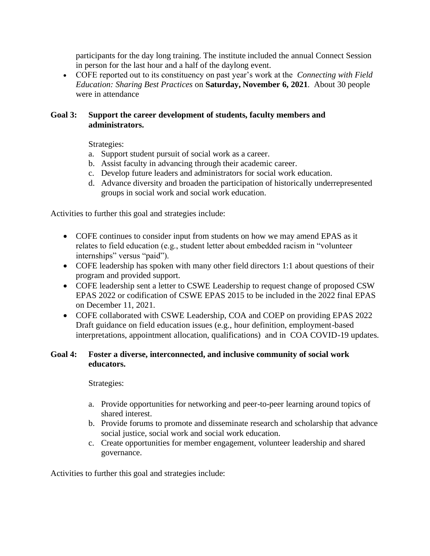participants for the day long training. The institute included the annual Connect Session in person for the last hour and a half of the daylong event.

• COFE reported out to its constituency on past year's work at the *Connecting with Field Education: Sharing Best Practices* on **Saturday, November 6, 2021**. About 30 people were in attendance

## **Goal 3: [Support the career development of students, faculty members and](https://www.cswe.org/About-CSWE/2020-Strategic-Plan#Goal3)  [administrators.](https://www.cswe.org/About-CSWE/2020-Strategic-Plan#Goal3)**

Strategies:

- a. Support student pursuit of social work as a career.
- b. Assist faculty in advancing through their academic career.
- c. Develop future leaders and administrators for social work education.
- d. Advance diversity and broaden the participation of historically underrepresented groups in social work and social work education.

Activities to further this goal and strategies include:

- COFE continues to consider input from students on how we may amend EPAS as it relates to field education (e.g., student letter about embedded racism in "volunteer internships" versus "paid").
- COFE leadership has spoken with many other field directors 1:1 about questions of their program and provided support.
- COFE leadership sent a letter to CSWE Leadership to request change of proposed CSW EPAS 2022 or codification of CSWE EPAS 2015 to be included in the 2022 final EPAS on December 11, 2021.
- COFE collaborated with CSWE Leadership, COA and COEP on providing EPAS 2022 Draft guidance on field education issues (e.g., hour definition, employment-based interpretations, appointment allocation, qualifications) and in COA COVID-19 updates.

## **Goal 4: [Foster a diverse, interconnected, and inclusive community of social work](https://www.cswe.org/About-CSWE/2020-Strategic-Plan#Goal4)  [educators.](https://www.cswe.org/About-CSWE/2020-Strategic-Plan#Goal4)**

Strategies:

- a. Provide opportunities for networking and peer-to-peer learning around topics of shared interest.
- b. Provide forums to promote and disseminate research and scholarship that advance social justice, social work and social work education.
- c. Create opportunities for member engagement, volunteer leadership and shared governance.

Activities to further this goal and strategies include: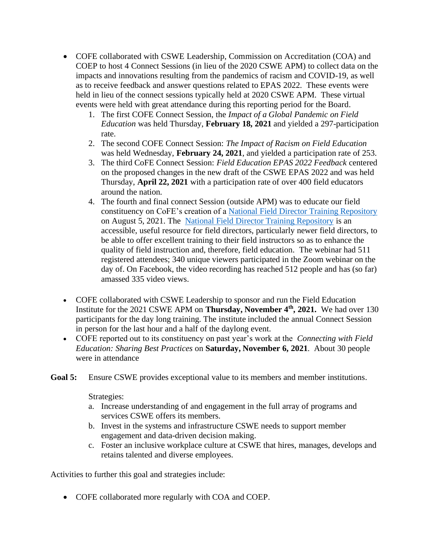- COFE collaborated with CSWE Leadership, Commission on Accreditation (COA) and COEP to host 4 Connect Sessions (in lieu of the 2020 CSWE APM) to collect data on the impacts and innovations resulting from the pandemics of racism and COVID-19, as well as to receive feedback and answer questions related to EPAS 2022. These events were held in lieu of the connect sessions typically held at 2020 CSWE APM. These virtual events were held with great attendance during this reporting period for the Board.
	- 1. The first COFE Connect Session, the *Impact of a Global Pandemic on Field Education* was held Thursday, **February 18, 2021** and yielded a 297-participation rate.
	- 2. The second COFE Connect Session: *The Impact of Racism on Field Education* was held Wednesday, **February 24, 2021**, and yielded a participation rate of 253.
	- 3. The third CoFE Connect Session: *Field Education EPAS 2022 Feedback* centered on the proposed changes in the new draft of the CSWE EPAS 2022 and was held Thursday, **April 22, 2021** with a participation rate of over 400 field educators around the nation.
	- 4. The fourth and final connect Session (outside APM) was to educate our field constituency on CoFE's creation of a [National Field Director Training Repository](https://www.cswe.org/About-CSWE/Governance/Commissions-and-Councils/Council-on-Field-Education/User%E2%80%99s-Guide-for-the-National-Field-Instructor-Tra%20.) on August 5, 2021. The [National Field Director Training Repository](https://www.cswe.org/About-CSWE/Governance/Commissions-and-Councils/Council-on-Field-Education/User%E2%80%99s-Guide-for-the-National-Field-Instructor-Tra%20.) is an accessible, useful resource for field directors, particularly newer field directors, to be able to offer excellent training to their field instructors so as to enhance the quality of field instruction and, therefore, field education. The webinar had 511 registered attendees; 340 unique viewers participated in the Zoom webinar on the day of. On Facebook, the video recording has reached 512 people and has (so far) amassed 335 video views.
- COFE collaborated with CSWE Leadership to sponsor and run the Field Education Institute for the 2021 CSWE APM on **Thursday, November 4th, 2021.** We had over 130 participants for the day long training. The institute included the annual Connect Session in person for the last hour and a half of the daylong event.
- COFE reported out to its constituency on past year's work at the *Connecting with Field Education: Sharing Best Practices* on **Saturday, November 6, 2021**. About 30 people were in attendance
- Goal 5: [Ensure CSWE provides exceptional value to its members and member institutions.](https://www.cswe.org/About-CSWE/2020-Strategic-Plan#Goal5)

Strategies:

- a. Increase understanding of and engagement in the full array of programs and services CSWE offers its members.
- b. Invest in the systems and infrastructure CSWE needs to support member engagement and data-driven decision making.
- c. Foster an inclusive workplace culture at CSWE that hires, manages, develops and retains talented and diverse employees.

Activities to further this goal and strategies include:

• COFE collaborated more regularly with COA and COEP.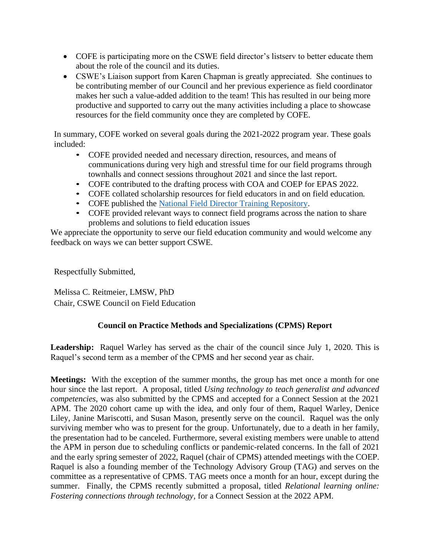- COFE is participating more on the CSWE field director's listserv to better educate them about the role of the council and its duties.
- CSWE's Liaison support from Karen Chapman is greatly appreciated. She continues to be contributing member of our Council and her previous experience as field coordinator makes her such a value-added addition to the team! This has resulted in our being more productive and supported to carry out the many activities including a place to showcase resources for the field community once they are completed by COFE.

In summary, COFE worked on several goals during the 2021-2022 program year. These goals included:

- COFE provided needed and necessary direction, resources, and means of communications during very high and stressful time for our field programs through townhalls and connect sessions throughout 2021 and since the last report.
- COFE contributed to the drafting process with COA and COEP for EPAS 2022.
- COFE collated scholarship resources for field educators in and on field education.
- COFE published the [National Field Director Training Repository.](https://www.cswe.org/About-CSWE/Governance/Commissions-and-Councils/Council-on-Field-Education/User%E2%80%99s-Guide-for-the-National-Field-Instructor-Tra%20.)
- COFE provided relevant ways to connect field programs across the nation to share problems and solutions to field education issues

We appreciate the opportunity to serve our field education community and would welcome any feedback on ways we can better support CSWE.

Respectfully Submitted,

Melissa C. Reitmeier, LMSW, PhD Chair, CSWE Council on Field Education

# **Council on Practice Methods and Specializations (CPMS) Report**

Leadership: Raquel Warley has served as the chair of the council since July 1, 2020. This is Raquel's second term as a member of the CPMS and her second year as chair.

**Meetings:** With the exception of the summer months, the group has met once a month for one hour since the last report. A proposal, titled *Using technology to teach generalist and advanced competencies*, was also submitted by the CPMS and accepted for a Connect Session at the 2021 APM. The 2020 cohort came up with the idea, and only four of them, Raquel Warley, Denice Liley, Janine Mariscotti, and Susan Mason, presently serve on the council. Raquel was the only surviving member who was to present for the group. Unfortunately, due to a death in her family, the presentation had to be canceled. Furthermore, several existing members were unable to attend the APM in person due to scheduling conflicts or pandemic-related concerns. In the fall of 2021 and the early spring semester of 2022, Raquel (chair of CPMS) attended meetings with the COEP. Raquel is also a founding member of the Technology Advisory Group (TAG) and serves on the committee as a representative of CPMS. TAG meets once a month for an hour, except during the summer. Finally, the CPMS recently submitted a proposal, titled *Relational learning online: Fostering connections through technology,* for a Connect Session at the 2022 APM.